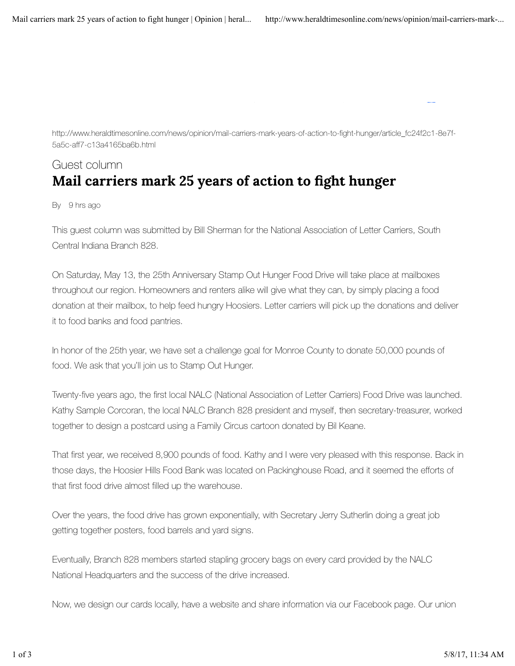http://www.heraldtimesonline.com/news/opinion/mail-carriers-mark-years-of-action-to-fight-hunger/article\_fc24f2c1-8e7f-5a5c-aff7-c13a4165ba6b.html

## Guest column Mail carriers mark 25 years of action to fight hunger

By 9 hrs ago

This guest column was submitted by Bill Sherman for the National Association of Letter Carriers, South Central Indiana Branch 828.

On Saturday, May 13, the 25th Anniversary Stamp Out Hunger Food Drive will take place at mailboxes throughout our region. Homeowners and renters alike will give what they can, by simply placing a food donation at their mailbox, to help feed hungry Hoosiers. Letter carriers will pick up the donations and deliver it to food banks and food pantries.

In honor of the 25th year, we have set a challenge goal for Monroe County to donate 50,000 pounds of food. We ask that you'll join us to Stamp Out Hunger.

Twenty-five years ago, the first local NALC (National Association of Letter Carriers) Food Drive was launched. Kathy Sample Corcoran, the local NALC Branch 828 president and myself, then secretary-treasurer, worked together to design a postcard using a Family Circus cartoon donated by Bil Keane.

That first year, we received 8,900 pounds of food. Kathy and I were very pleased with this response. Back in those days, the Hoosier Hills Food Bank was located on Packinghouse Road, and it seemed the efforts of that first food drive almost filled up the warehouse.

Over the years, the food drive has grown exponentially, with Secretary Jerry Sutherlin doing a great job getting together posters, food barrels and yard signs.

Eventually, Branch 828 members started stapling grocery bags on every card provided by the NALC National Headquarters and the success of the drive increased.

Now, we design our cards locally, have a website and share information via our Facebook page. Our union